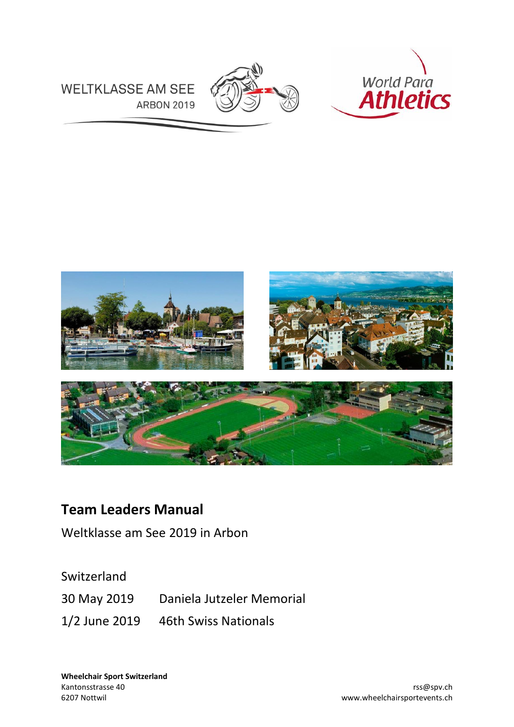



**WELTKLASSE AM SEE ARBON 2019** 



# **Team Leaders Manual**

Weltklasse am See 2019 in Arbon

Switzerland 30 May 2019 Daniela Jutzeler Memorial 1/2 June 2019 46th Swiss Nationals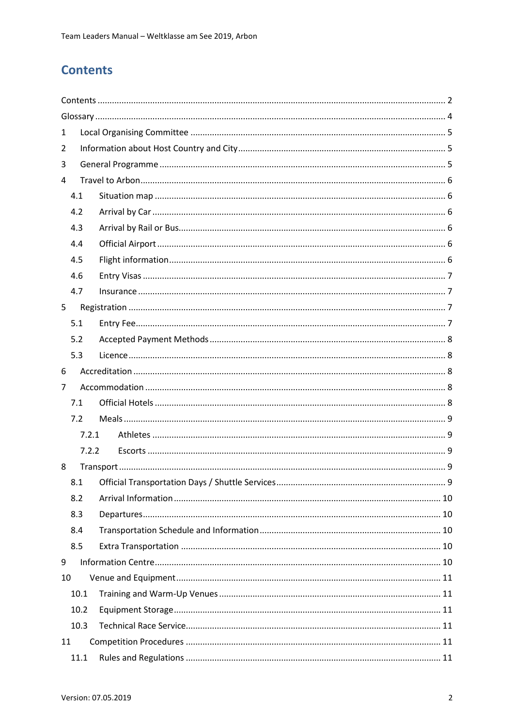## <span id="page-1-0"></span>**Contents**

| 1     |  |  |  |  |
|-------|--|--|--|--|
| 2     |  |  |  |  |
| 3     |  |  |  |  |
| 4     |  |  |  |  |
| 4.1   |  |  |  |  |
| 4.2   |  |  |  |  |
| 4.3   |  |  |  |  |
| 4.4   |  |  |  |  |
| 4.5   |  |  |  |  |
| 4.6   |  |  |  |  |
| 4.7   |  |  |  |  |
| 5     |  |  |  |  |
| 5.1   |  |  |  |  |
| 5.2   |  |  |  |  |
| 5.3   |  |  |  |  |
| 6     |  |  |  |  |
| 7     |  |  |  |  |
| 7.1   |  |  |  |  |
| 7.2   |  |  |  |  |
| 7.2.1 |  |  |  |  |
| 7.2.2 |  |  |  |  |
| 8     |  |  |  |  |
| 8.1   |  |  |  |  |
| 8.2   |  |  |  |  |
| 8.3   |  |  |  |  |
| 8.4   |  |  |  |  |
| 8.5   |  |  |  |  |
| 9     |  |  |  |  |
| 10    |  |  |  |  |
| 10.1  |  |  |  |  |
| 10.2  |  |  |  |  |
| 10.3  |  |  |  |  |
| 11    |  |  |  |  |
| 11.1  |  |  |  |  |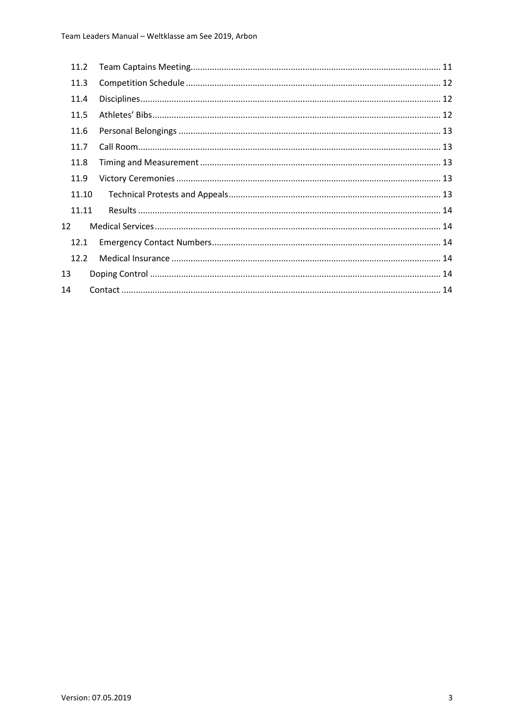|    | 11.2  |  |
|----|-------|--|
|    | 11.3  |  |
|    | 11.4  |  |
|    | 11.5  |  |
|    | 11.6  |  |
|    | 11.7  |  |
|    | 11.8  |  |
|    | 11.9  |  |
|    | 11.10 |  |
|    | 11.11 |  |
| 12 |       |  |
|    | 12.1  |  |
|    | 12.2  |  |
| 13 |       |  |
| 14 |       |  |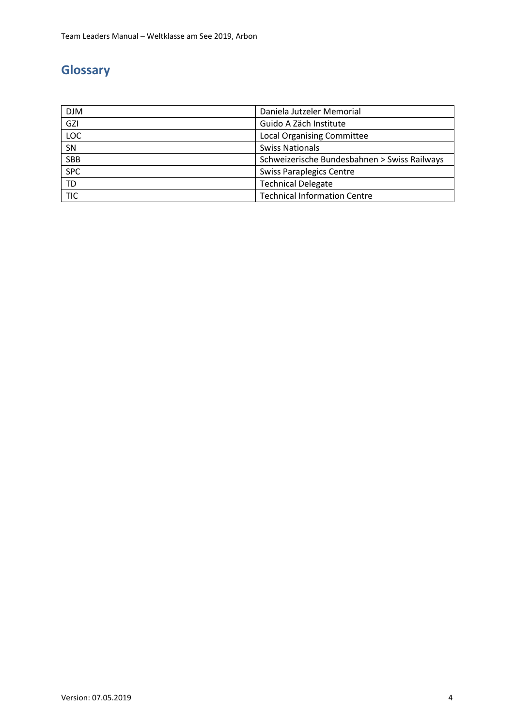# <span id="page-3-0"></span>**Glossary**

| <b>DJM</b> | Daniela Jutzeler Memorial                    |
|------------|----------------------------------------------|
| GZI        | Guido A Zäch Institute                       |
| LOC        | <b>Local Organising Committee</b>            |
| SN         | <b>Swiss Nationals</b>                       |
| <b>SBB</b> | Schweizerische Bundesbahnen > Swiss Railways |
| <b>SPC</b> | <b>Swiss Paraplegics Centre</b>              |
| <b>TD</b>  | <b>Technical Delegate</b>                    |
| <b>TIC</b> | <b>Technical Information Centre</b>          |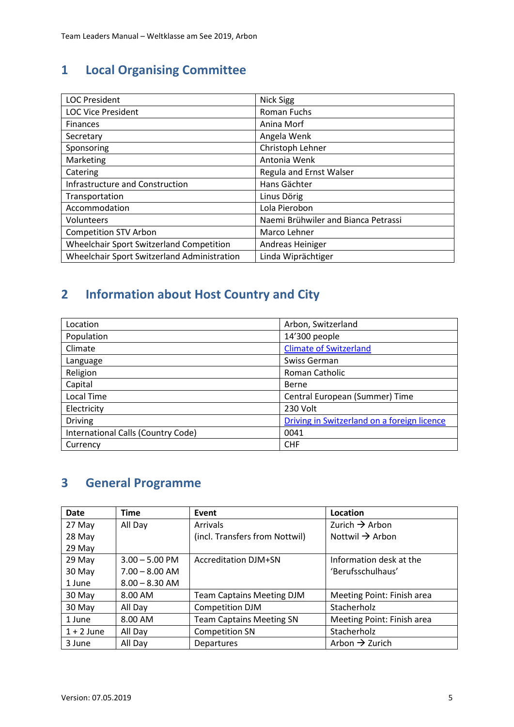# <span id="page-4-0"></span>**1 Local Organising Committee**

| <b>LOC President</b>                        | <b>Nick Sigg</b>                    |
|---------------------------------------------|-------------------------------------|
| <b>LOC Vice President</b>                   | <b>Roman Fuchs</b>                  |
| <b>Finances</b>                             | Anina Morf                          |
| Secretary                                   | Angela Wenk                         |
| Sponsoring                                  | Christoph Lehner                    |
| Marketing                                   | Antonia Wenk                        |
| Catering                                    | Regula and Ernst Walser             |
| Infrastructure and Construction             | Hans Gächter                        |
| Transportation                              | Linus Dörig                         |
| Accommodation                               | Lola Pierobon                       |
| Volunteers                                  | Naemi Brühwiler and Bianca Petrassi |
| <b>Competition STV Arbon</b>                | Marco Lehner                        |
| Wheelchair Sport Switzerland Competition    | Andreas Heiniger                    |
| Wheelchair Sport Switzerland Administration | Linda Wiprächtiger                  |

# <span id="page-4-1"></span>**2 Information about Host Country and City**

| Location                           | Arbon, Switzerland                          |
|------------------------------------|---------------------------------------------|
| Population                         | 14'300 people                               |
| Climate                            | <b>Climate of Switzerland</b>               |
| Language                           | Swiss German                                |
| Religion                           | Roman Catholic                              |
| Capital                            | Berne                                       |
| Local Time                         | Central European (Summer) Time              |
| Electricity                        | 230 Volt                                    |
| <b>Driving</b>                     | Driving in Switzerland on a foreign licence |
| International Calls (Country Code) | 0041                                        |
| Currency                           | <b>CHF</b>                                  |

# <span id="page-4-2"></span>**3 General Programme**

| <b>Date</b>  | <b>Time</b>      | Event                            | Location                    |
|--------------|------------------|----------------------------------|-----------------------------|
| 27 May       | All Day          | <b>Arrivals</b>                  | Zurich $\rightarrow$ Arbon  |
| 28 May       |                  | (incl. Transfers from Nottwil)   | Nottwil $\rightarrow$ Arbon |
| 29 May       |                  |                                  |                             |
| 29 May       | $3.00 - 5.00$ PM | <b>Accreditation DJM+SN</b>      | Information desk at the     |
| 30 May       | $7.00 - 8.00$ AM |                                  | 'Berufsschulhaus'           |
| 1 June       | $8.00 - 8.30$ AM |                                  |                             |
| 30 May       | 8.00 AM          | <b>Team Captains Meeting DJM</b> | Meeting Point: Finish area  |
| 30 May       | All Day          | <b>Competition DJM</b>           | Stacherholz                 |
| 1 June       | 8.00 AM          | <b>Team Captains Meeting SN</b>  | Meeting Point: Finish area  |
| $1 + 2$ June | All Day          | <b>Competition SN</b>            | Stacherholz                 |
| 3 June       | All Day          | Departures                       | Arbon $\rightarrow$ Zurich  |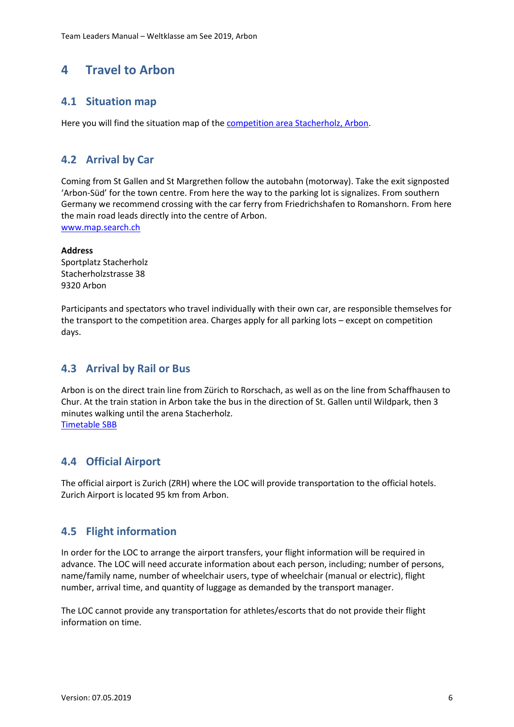## <span id="page-5-0"></span>**4 Travel to Arbon**

### <span id="page-5-1"></span>**4.1 Situation map**

Here you will find the situation map of th[e competition area Stacherholz, Arbon.](http://www.wheelchairsportevents.ch/__/frontend/handler/document/42/715/Situationsplan%20Stacherholz%20mit%20Legende_a.pdf)

### <span id="page-5-2"></span>**4.2 Arrival by Car**

Coming from St Gallen and St Margrethen follow the autobahn (motorway). Take the exit signposted 'Arbon-Süd' for the town centre. From here the way to the parking lot is signalizes. From southern Germany we recommend crossing with the car ferry from Friedrichshafen to Romanshorn. From here the main road leads directly into the centre of Arbon.

[www.map.search.ch](http://www.map.search.ch/)

#### **Address**

Sportplatz Stacherholz Stacherholzstrasse 38 9320 Arbon

Participants and spectators who travel individually with their own car, are responsible themselves for the transport to the competition area. Charges apply for all parking lots – except on competition days.

### <span id="page-5-3"></span>**4.3 Arrival by Rail or Bus**

Arbon is on the direct train line from Zürich to Rorschach, as well as on the line from Schaffhausen to Chur. At the train station in Arbon take the bus in the direction of St. Gallen until Wildpark, then 3 minutes walking until the arena Stacherholz. [Timetable SBB](https://www.sbb.ch/en/)

## <span id="page-5-4"></span>**4.4 Official Airport**

The official airport is Zurich (ZRH) where the LOC will provide transportation to the official hotels. Zurich Airport is located 95 km from Arbon.

## <span id="page-5-5"></span>**4.5 Flight information**

In order for the LOC to arrange the airport transfers, your flight information will be required in advance. The LOC will need accurate information about each person, including; number of persons, name/family name, number of wheelchair users, type of wheelchair (manual or electric), flight number, arrival time, and quantity of luggage as demanded by the transport manager.

The LOC cannot provide any transportation for athletes/escorts that do not provide their flight information on time.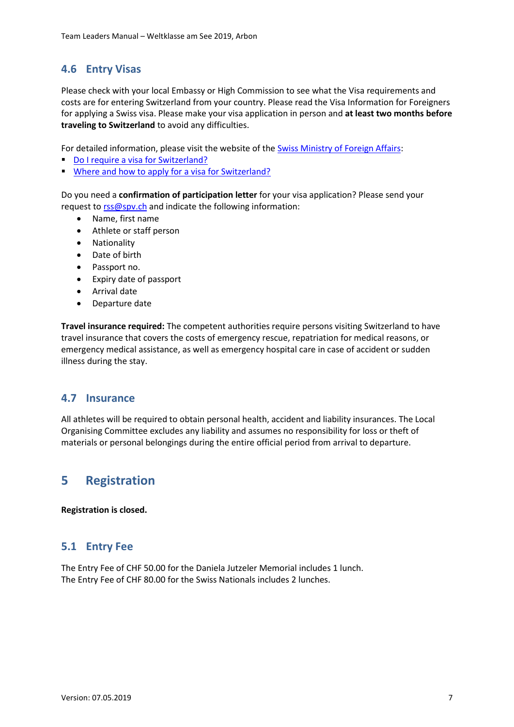### <span id="page-6-0"></span>**4.6 Entry Visas**

Please check with your local Embassy or High Commission to see what the Visa requirements and costs are for entering Switzerland from your country. Please read the Visa Information for Foreigners for applying a Swiss visa. Please make your visa application in person and **at least two months before traveling to Switzerland** to avoid any difficulties.

For detailed information, please visit the website of the [Swiss Ministry of Foreign Affairs:](https://www.sem.admin.ch/sem/en/home/themen/einreise.html)

- [Do I require a visa for Switzerland?](https://www.sem.admin.ch/sem/en/home/themen/einreise/merkblatt_einreise.html)
- [Where and how to apply for a visa for Switzerland?](https://www.swiss-visa.ch/register/i210_select_country_view.action)

Do you need a **confirmation of participation letter** for your visa application? Please send your request t[o rss@spv.ch](mailto:rss@spv.ch) and indicate the following information:

- Name, first name
- Athlete or staff person
- Nationality
- Date of birth
- Passport no.
- Expiry date of passport
- Arrival date
- Departure date

**Travel insurance required:** The competent authorities require persons visiting Switzerland to have travel insurance that covers the costs of emergency rescue, repatriation for medical reasons, or emergency medical assistance, as well as emergency hospital care in case of accident or sudden illness during the stay.

#### <span id="page-6-1"></span>**4.7 Insurance**

All athletes will be required to obtain personal health, accident and liability insurances. The Local Organising Committee excludes any liability and assumes no responsibility for loss or theft of materials or personal belongings during the entire official period from arrival to departure.

## <span id="page-6-2"></span>**5 Registration**

**Registration is closed.**

#### <span id="page-6-3"></span>**5.1 Entry Fee**

The Entry Fee of CHF 50.00 for the Daniela Jutzeler Memorial includes 1 lunch. The Entry Fee of CHF 80.00 for the Swiss Nationals includes 2 lunches.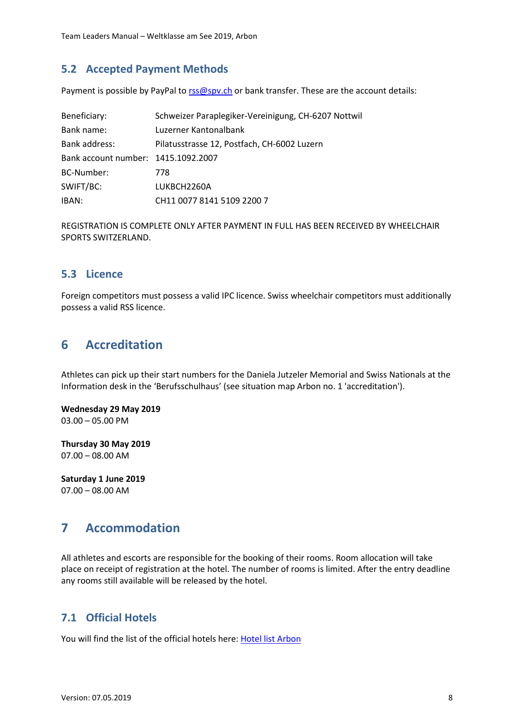#### <span id="page-7-0"></span>**5.2 Accepted Payment Methods**

Payment is possible by PayPal t[o rss@spv.ch](mailto:rss@spv.ch) or bank transfer. These are the account details:

| Beneficiary:                        | Schweizer Paraplegiker-Vereinigung, CH-6207 Nottwil |
|-------------------------------------|-----------------------------------------------------|
| Bank name:                          | Luzerner Kantonalbank                               |
| Bank address:                       | Pilatusstrasse 12, Postfach, CH-6002 Luzern         |
| Bank account number: 1415.1092.2007 |                                                     |
| BC-Number:                          | 778                                                 |
| SWIFT/BC:                           | LUKBCH2260A                                         |
| IBAN:                               | CH11 0077 8141 5109 2200 7                          |

REGISTRATION IS COMPLETE ONLY AFTER PAYMENT IN FULL HAS BEEN RECEIVED BY WHEELCHAIR SPORTS SWITZERLAND.

#### <span id="page-7-1"></span>**5.3 Licence**

Foreign competitors must possess a valid IPC licence. Swiss wheelchair competitors must additionally possess a valid RSS licence.

## <span id="page-7-2"></span>**6 Accreditation**

Athletes can pick up their start numbers for the Daniela Jutzeler Memorial and Swiss Nationals at the Information desk in the 'Berufsschulhaus' (see situation map Arbon no. 1 'accreditation').

**Wednesday 29 May 2019** 03.00 – 05.00 PM

**Thursday 30 May 2019** 07.00 – 08.00 AM

**Saturday 1 June 2019** 07.00 – 08.00 AM

## <span id="page-7-3"></span>**7 Accommodation**

All athletes and escorts are responsible for the booking of their rooms. Room allocation will take place on receipt of registration at the hotel. The number of rooms is limited. After the entry deadline any rooms still available will be released by the hotel.

## <span id="page-7-4"></span>**7.1 Official Hotels**

You will find the list of the official hotels here[: Hotel list Arbon](http://www.wheelchairsportevents.ch/en/events_2019/arbon_2019/accommodationtransports/)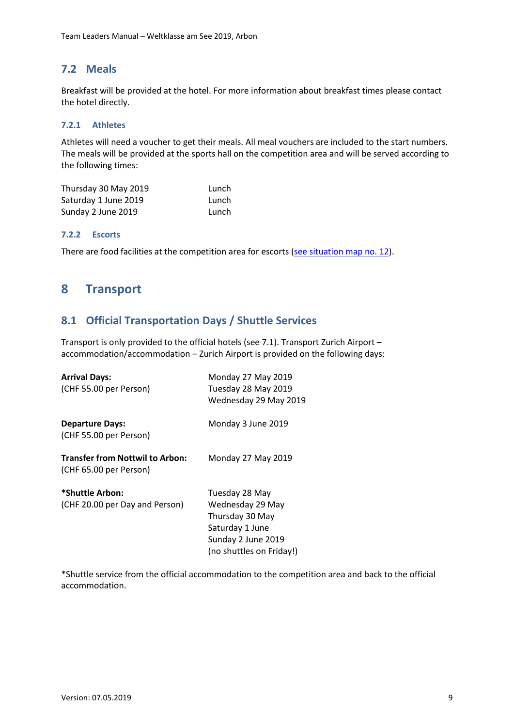### <span id="page-8-0"></span>**7.2 Meals**

Breakfast will be provided at the hotel. For more information about breakfast times please contact the hotel directly.

#### <span id="page-8-1"></span>**7.2.1 Athletes**

Athletes will need a voucher to get their meals. All meal vouchers are included to the start numbers. The meals will be provided at the sports hall on the competition area and will be served according to the following times:

| Thursday 30 May 2019 | Lunch |
|----------------------|-------|
| Saturday 1 June 2019 | Lunch |
| Sunday 2 June 2019   | Lunch |

#### <span id="page-8-2"></span>**7.2.2 Escorts**

There are food facilities at the competition area for escorts [\(see situation map no. 12\)](http://www.wheelchairsportevents.ch/__/frontend/handler/document/42/715/Situationsplan%20Stacherholz%20mit%20Legende_a.pdf).

## <span id="page-8-3"></span>**8 Transport**

#### <span id="page-8-4"></span>**8.1 Official Transportation Days / Shuttle Services**

Transport is only provided to the official hotels (see 7.1). Transport Zurich Airport – accommodation/accommodation – Zurich Airport is provided on the following days:

| <b>Arrival Days:</b>                   | Monday 27 May 2019       |
|----------------------------------------|--------------------------|
| (CHF 55.00 per Person)                 | Tuesday 28 May 2019      |
|                                        | Wednesday 29 May 2019    |
| <b>Departure Days:</b>                 | Monday 3 June 2019       |
| (CHF 55.00 per Person)                 |                          |
| <b>Transfer from Nottwil to Arbon:</b> | Monday 27 May 2019       |
| (CHF 65.00 per Person)                 |                          |
| *Shuttle Arbon:                        | Tuesday 28 May           |
| (CHF 20.00 per Day and Person)         | Wednesday 29 May         |
|                                        | Thursday 30 May          |
|                                        | Saturday 1 June          |
|                                        | Sunday 2 June 2019       |
|                                        | (no shuttles on Friday!) |

\*Shuttle service from the official accommodation to the competition area and back to the official accommodation.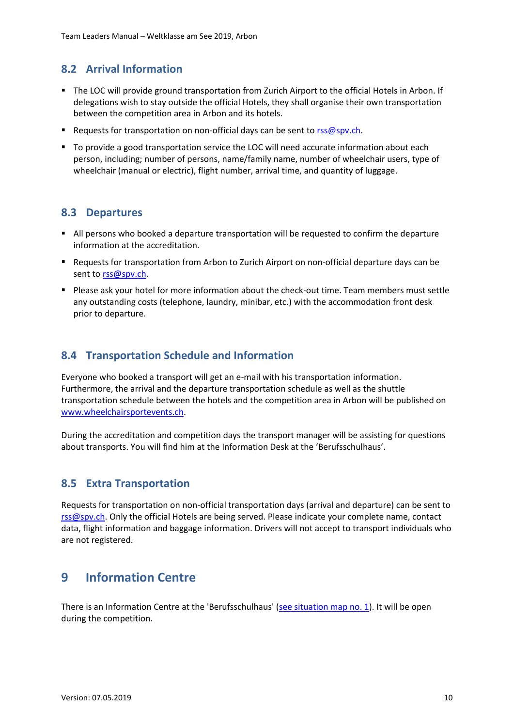### <span id="page-9-0"></span>**8.2 Arrival Information**

- The LOC will provide ground transportation from Zurich Airport to the official Hotels in Arbon. If delegations wish to stay outside the official Hotels, they shall organise their own transportation between the competition area in Arbon and its hotels.
- Requests for transportation on non-official days can be sent to [rss@spv.ch.](mailto:rss@spv.ch)
- To provide a good transportation service the LOC will need accurate information about each person, including; number of persons, name/family name, number of wheelchair users, type of wheelchair (manual or electric), flight number, arrival time, and quantity of luggage.

#### <span id="page-9-1"></span>**8.3 Departures**

- All persons who booked a departure transportation will be requested to confirm the departure information at the accreditation.
- Requests for transportation from Arbon to Zurich Airport on non-official departure days can be sent to [rss@spv.ch.](mailto:rss@spv.ch)
- Please ask your hotel for more information about the check-out time. Team members must settle any outstanding costs (telephone, laundry, minibar, etc.) with the accommodation front desk prior to departure.

#### <span id="page-9-2"></span>**8.4 Transportation Schedule and Information**

Everyone who booked a transport will get an e-mail with his transportation information. Furthermore, the arrival and the departure transportation schedule as well as the shuttle transportation schedule between the hotels and the competition area in Arbon will be published on [www.wheelchairsportevents.ch.](http://www.wheelchairsportevents.ch/)

During the accreditation and competition days the transport manager will be assisting for questions about transports. You will find him at the Information Desk at the 'Berufsschulhaus'.

#### <span id="page-9-3"></span>**8.5 Extra Transportation**

Requests for transportation on non-official transportation days (arrival and departure) can be sent to [rss@spv.ch.](mailto:rss@spv.ch) Only the official Hotels are being served. Please indicate your complete name, contact data, flight information and baggage information. Drivers will not accept to transport individuals who are not registered.

## <span id="page-9-4"></span>**9 Information Centre**

There is an Information Centre at the 'Berufsschulhaus' [\(see situation map no. 1\)](http://www.wheelchairsportevents.ch/__/frontend/handler/document/42/715/Situationsplan%20Stacherholz%20mit%20Legende_a.pdf). It will be open during the competition.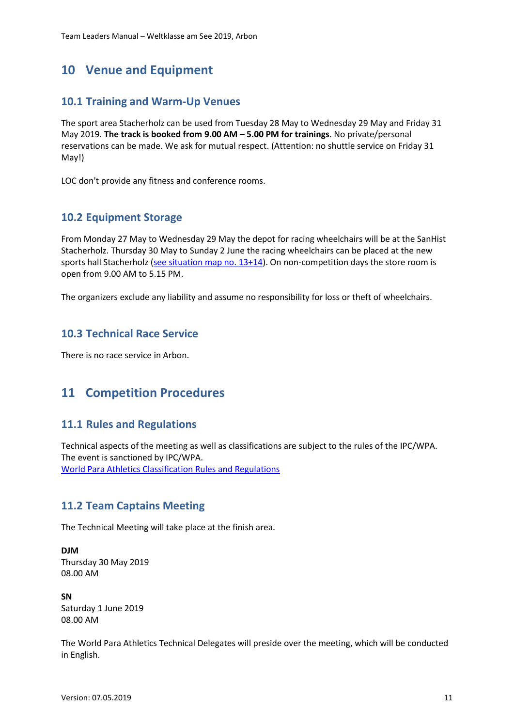## <span id="page-10-0"></span>**10 Venue and Equipment**

#### <span id="page-10-1"></span>**10.1 Training and Warm-Up Venues**

The sport area Stacherholz can be used from Tuesday 28 May to Wednesday 29 May and Friday 31 May 2019. **The track is booked from 9.00 AM – 5.00 PM for trainings**. No private/personal reservations can be made. We ask for mutual respect. (Attention: no shuttle service on Friday 31 May!)

LOC don't provide any fitness and conference rooms.

#### <span id="page-10-2"></span>**10.2 Equipment Storage**

From Monday 27 May to Wednesday 29 May the depot for racing wheelchairs will be at the SanHist Stacherholz. Thursday 30 May to Sunday 2 June the racing wheelchairs can be placed at the new sports hall Stacherholz [\(see situation map no. 13+14\)](http://www.wheelchairsportevents.ch/__/frontend/handler/document/42/715/Situationsplan%20Stacherholz%20mit%20Legende_a.pdf). On non-competition days the store room is open from 9.00 AM to 5.15 PM.

The organizers exclude any liability and assume no responsibility for loss or theft of wheelchairs.

#### <span id="page-10-3"></span>**10.3 Technical Race Service**

There is no race service in Arbon.

## <span id="page-10-4"></span>**11 Competition Procedures**

#### <span id="page-10-5"></span>**11.1 Rules and Regulations**

Technical aspects of the meeting as well as classifications are subject to the rules of the IPC/WPA. The event is sanctioned by IPC/WPA. [World Para Athletics Classification Rules and Regulations](https://www.paralympic.org/athletics/events/rules-and-regulations)

#### <span id="page-10-6"></span>**11.2 Team Captains Meeting**

The Technical Meeting will take place at the finish area.

**DJM** Thursday 30 May 2019 08.00 AM

**SN** Saturday 1 June 2019 08.00 AM

The World Para Athletics Technical Delegates will preside over the meeting, which will be conducted in English.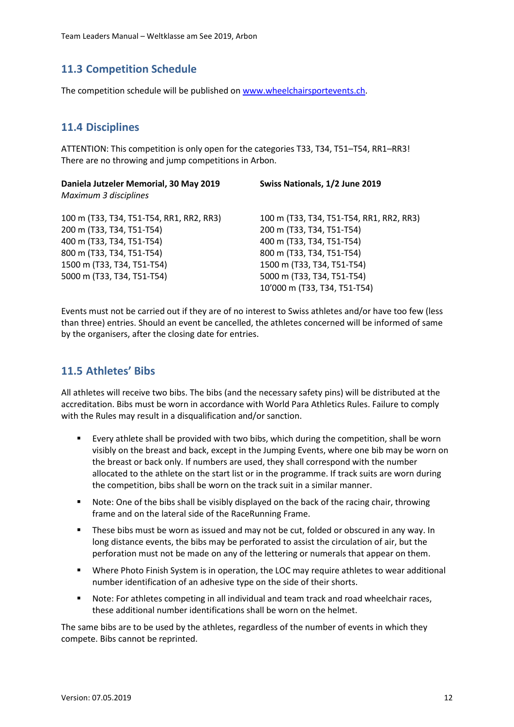### <span id="page-11-0"></span>**11.3 Competition Schedule**

The competition schedule will be published on [www.wheelchairsportevents.ch.](http://www.wheelchairsportevents.ch/)

### <span id="page-11-1"></span>**11.4 Disciplines**

ATTENTION: This competition is only open for the categories T33, T34, T51–T54, RR1–RR3! There are no throwing and jump competitions in Arbon.

| Daniela Jutzeler Memorial, 30 May 2019<br>Maximum 3 disciplines                                                                                                                             | Swiss Nationals, 1/2 June 2019                                                                                                                                                                                              |
|---------------------------------------------------------------------------------------------------------------------------------------------------------------------------------------------|-----------------------------------------------------------------------------------------------------------------------------------------------------------------------------------------------------------------------------|
| 100 m (T33, T34, T51-T54, RR1, RR2, RR3)<br>200 m (T33, T34, T51-T54)<br>400 m (T33, T34, T51-T54)<br>800 m (T33, T34, T51-T54)<br>1500 m (T33, T34, T51-T54)<br>5000 m (T33, T34, T51-T54) | 100 m (T33, T34, T51-T54, RR1, RR2, RR3)<br>200 m (T33, T34, T51-T54)<br>400 m (T33, T34, T51-T54)<br>800 m (T33, T34, T51-T54)<br>1500 m (T33, T34, T51-T54)<br>5000 m (T33, T34, T51-T54)<br>10'000 m (T33, T34, T51-T54) |
|                                                                                                                                                                                             |                                                                                                                                                                                                                             |

Events must not be carried out if they are of no interest to Swiss athletes and/or have too few (less than three) entries. Should an event be cancelled, the athletes concerned will be informed of same by the organisers, after the closing date for entries.

#### <span id="page-11-2"></span>**11.5 Athletes' Bibs**

All athletes will receive two bibs. The bibs (and the necessary safety pins) will be distributed at the accreditation. Bibs must be worn in accordance with World Para Athletics Rules. Failure to comply with the Rules may result in a disqualification and/or sanction.

- Every athlete shall be provided with two bibs, which during the competition, shall be worn visibly on the breast and back, except in the Jumping Events, where one bib may be worn on the breast or back only. If numbers are used, they shall correspond with the number allocated to the athlete on the start list or in the programme. If track suits are worn during the competition, bibs shall be worn on the track suit in a similar manner.
- Note: One of the bibs shall be visibly displayed on the back of the racing chair, throwing frame and on the lateral side of the RaceRunning Frame.
- These bibs must be worn as issued and may not be cut, folded or obscured in any way. In long distance events, the bibs may be perforated to assist the circulation of air, but the perforation must not be made on any of the lettering or numerals that appear on them.
- Where Photo Finish System is in operation, the LOC may require athletes to wear additional number identification of an adhesive type on the side of their shorts.
- Note: For athletes competing in all individual and team track and road wheelchair races, these additional number identifications shall be worn on the helmet.

The same bibs are to be used by the athletes, regardless of the number of events in which they compete. Bibs cannot be reprinted.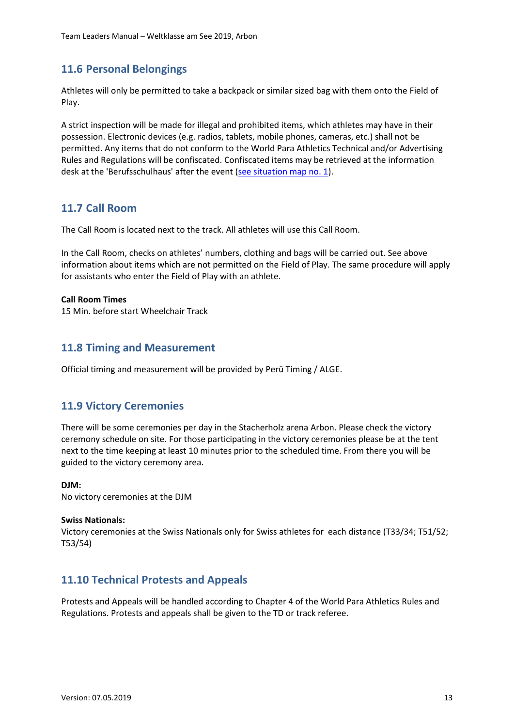#### <span id="page-12-0"></span>**11.6 Personal Belongings**

Athletes will only be permitted to take a backpack or similar sized bag with them onto the Field of Play.

A strict inspection will be made for illegal and prohibited items, which athletes may have in their possession. Electronic devices (e.g. radios, tablets, mobile phones, cameras, etc.) shall not be permitted. Any items that do not conform to the World Para Athletics Technical and/or Advertising Rules and Regulations will be confiscated. Confiscated items may be retrieved at the information desk at the 'Berufsschulhaus' after the event [\(see situation map no. 1\)](http://www.wheelchairsportevents.ch/__/frontend/handler/document/42/715/Situationsplan%20Stacherholz%20mit%20Legende_a.pdf).

#### <span id="page-12-1"></span>**11.7 Call Room**

The Call Room is located next to the track. All athletes will use this Call Room.

In the Call Room, checks on athletes' numbers, clothing and bags will be carried out. See above information about items which are not permitted on the Field of Play. The same procedure will apply for assistants who enter the Field of Play with an athlete.

#### **Call Room Times**

15 Min. before start Wheelchair Track

#### <span id="page-12-2"></span>**11.8 Timing and Measurement**

Official timing and measurement will be provided by Perü Timing / ALGE.

#### <span id="page-12-3"></span>**11.9 Victory Ceremonies**

There will be some ceremonies per day in the Stacherholz arena Arbon. Please check the victory ceremony schedule on site. For those participating in the victory ceremonies please be at the tent next to the time keeping at least 10 minutes prior to the scheduled time. From there you will be guided to the victory ceremony area.

#### **DJM:**

No victory ceremonies at the DJM

#### **Swiss Nationals:**

Victory ceremonies at the Swiss Nationals only for Swiss athletes for each distance (T33/34; T51/52; T53/54)

#### <span id="page-12-4"></span>**11.10 Technical Protests and Appeals**

Protests and Appeals will be handled according to Chapter 4 of the World Para Athletics Rules and Regulations. Protests and appeals shall be given to the TD or track referee.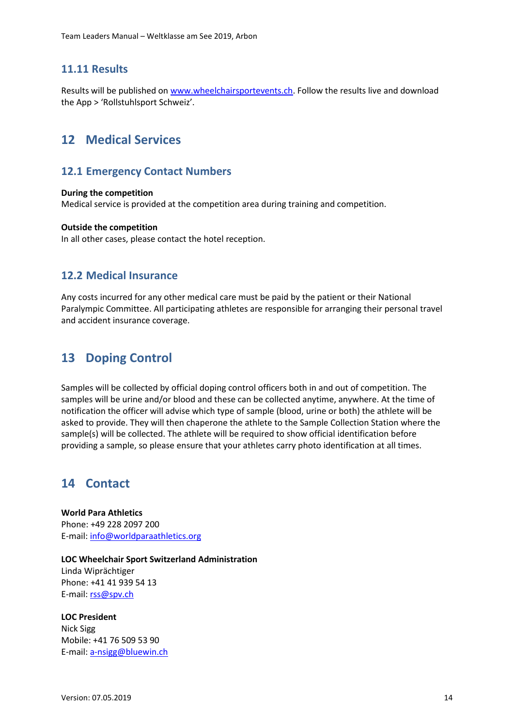#### <span id="page-13-0"></span>**11.11 Results**

Results will be published on [www.wheelchairsportevents.ch.](http://www.wheelchairsportevents.ch/) Follow the results live and download the App > 'Rollstuhlsport Schweiz'.

## <span id="page-13-1"></span>**12 Medical Services**

#### <span id="page-13-2"></span>**12.1 Emergency Contact Numbers**

#### **During the competition**

Medical service is provided at the competition area during training and competition.

#### **Outside the competition**

In all other cases, please contact the hotel reception.

#### <span id="page-13-3"></span>**12.2 Medical Insurance**

Any costs incurred for any other medical care must be paid by the patient or their National Paralympic Committee. All participating athletes are responsible for arranging their personal travel and accident insurance coverage.

## <span id="page-13-4"></span>**13 Doping Control**

Samples will be collected by official doping control officers both in and out of competition. The samples will be urine and/or blood and these can be collected anytime, anywhere. At the time of notification the officer will advise which type of sample (blood, urine or both) the athlete will be asked to provide. They will then chaperone the athlete to the Sample Collection Station where the sample(s) will be collected. The athlete will be required to show official identification before providing a sample, so please ensure that your athletes carry photo identification at all times.

## <span id="page-13-5"></span>**14 Contact**

**World Para Athletics** Phone: +49 228 2097 200 E-mail: [info@worldparaathletics.org](mailto:info@worldparaathletics.org)

**LOC Wheelchair Sport Switzerland Administration** Linda Wiprächtiger Phone: +41 41 939 54 13 E-mail: [rss@spv.ch](mailto:rss@spv.ch)

### **LOC President**

Nick Sigg Mobile: +41 76 509 53 90 E-mail: [a-nsigg@bluewin.ch](mailto:a-nsigg@bluewin.ch)